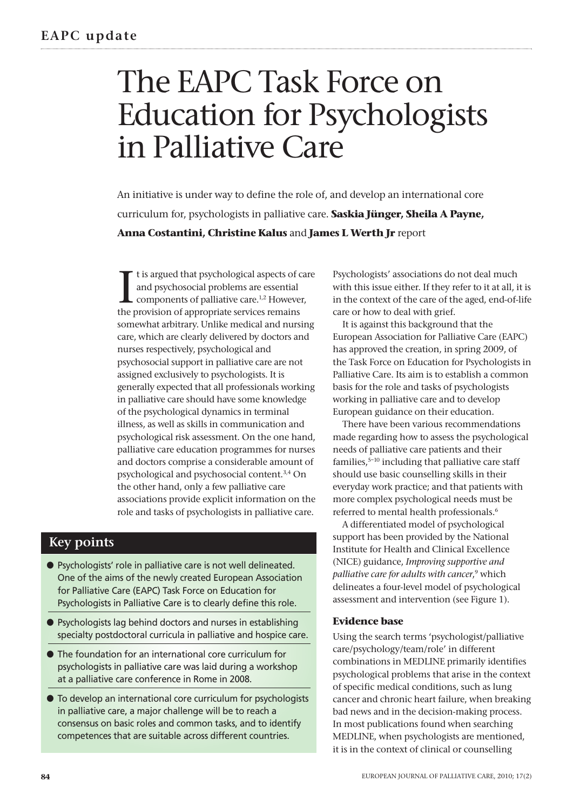# The EAPC Task Force on Education for Psychologists in Palliative Care

An initiative is under way to define the role of, and develop an international core curriculum for, psychologists in palliative care. **Saskia Jünger, Sheila A Payne, Anna Costantini, Christine Kalus** and **James L Werth Jr** report

I t is argued that psychological aspects of care and psychosocial problems are essential components of palliative care.1,2 However, the provision of appropriate services remains somewhat arbitrary. Unlike medical and nursing care, which are clearly delivered by doctors and nurses respectively, psychological and psychosocial support in palliative care are not assigned exclusively to psychologists. It is generally expected that all professionals working in palliative care should have some knowledge of the psychological dynamics in terminal illness, as well as skills in communication and psychological risk assessment. On the one hand, palliative care education programmes for nurses and doctors comprise a considerable amount of psychological and psychosocial content.3,4 On the other hand, only a few palliative care associations provide explicit information on the role and tasks of psychologists in palliative care.

# **Key points**

- **●** Psychologists' role in palliative care is not well delineated. One of the aims of the newly created European Association for Palliative Care (EAPC) Task Force on Education for Psychologists in Palliative Care is to clearly define this role.
- **●** Psychologists lag behind doctors and nurses in establishing specialty postdoctoral curricula in palliative and hospice care.
- **●** The foundation for an international core curriculum for psychologists in palliative care was laid during a workshop at a palliative care conference in Rome in 2008.
- **●** To develop an international core curriculum for psychologists in palliative care, a major challenge will be to reach a consensus on basic roles and common tasks, and to identify competences that are suitable across different countries.

Psychologists' associations do not deal much with this issue either. If they refer to it at all, it is in the context of the care of the aged, end-of-life care or how to deal with grief.

It is against this background that the European Association for Palliative Care (EAPC) has approved the creation, in spring 2009, of the Task Force on Education for Psychologists in Palliative Care. Its aim is to establish a common basis for the role and tasks of psychologists working in palliative care and to develop European guidance on their education.

There have been various recommendations made regarding how to assess the psychological needs of palliative care patients and their families, $5-10$  including that palliative care staff should use basic counselling skills in their everyday work practice; and that patients with more complex psychological needs must be referred to mental health professionals.6

A differentiated model of psychological support has been provided by the National Institute for Health and Clinical Excellence (NICE) guidance, *Improving supportive and palliative care for adults with cancer*, <sup>9</sup> which delineates a four-level model of psychological assessment and intervention (see Figure 1).

# **Evidence base**

Using the search terms 'psychologist/palliative care/psychology/team/role' in different combinations in MEDLINE primarily identifies psychological problems that arise in the context of specific medical conditions, such as lung cancer and chronic heart failure, when breaking bad news and in the decision-making process. In most publications found when searching MEDLINE, when psychologists are mentioned, it is in the context of clinical or counselling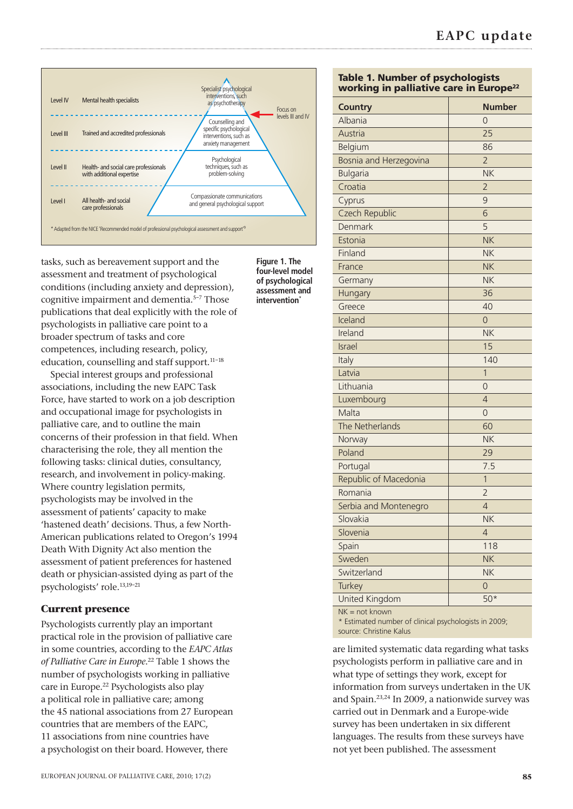

tasks, such as bereavement support and the assessment and treatment of psychological conditions (including anxiety and depression), cognitive impairment and dementia.<sup>5-7</sup> Those publications that deal explicitly with the role of psychologists in palliative care point to a broader spectrum of tasks and core competences, including research, policy, education, counselling and staff support.<sup>11-18</sup>

Special interest groups and professional associations, including the new EAPC Task Force, have started to work on a job description and occupational image for psychologists in palliative care, and to outline the main concerns of their profession in that field. When characterising the role, they all mention the following tasks: clinical duties, consultancy, research, and involvement in policy-making. Where country legislation permits, psychologists may be involved in the assessment of patients' capacity to make 'hastened death' decisions. Thus, a few North-American publications related to Oregon's 1994 Death With Dignity Act also mention the assessment of patient preferences for hastened death or physician-assisted dying as part of the psychologists' role.13,19–21

## **Current presence**

Psychologists currently play an important practical role in the provision of palliative care in some countries, according to the *EAPC Atlas of Palliative Care in Europe*. <sup>22</sup> Table 1 shows the number of psychologists working in palliative care in Europe.22 Psychologists also play a political role in palliative care; among the 45 national associations from 27 European countries that are members of the EAPC, 11 associations from nine countries have a psychologist on their board. However, there

**Figure 1. The four-level model of psychological assessment and intervention**<sup>\*</sup>

## **Table 1. Number of psychologists working in palliative care in Europe22**

| <b>Country</b><br>Albania | <b>Number</b>  |
|---------------------------|----------------|
|                           | 0              |
| Austria                   | 25             |
| Belgium                   | 86             |
| Bosnia and Herzegovina    | $\overline{2}$ |
| <b>Bulgaria</b>           | <b>NK</b>      |
| Croatia                   | $\overline{2}$ |
| Cyprus                    | 9              |
| Czech Republic            | 6              |
| Denmark                   | 5              |
| Estonia                   | <b>NK</b>      |
| Finland                   | <b>NK</b>      |
| France                    | <b>NK</b>      |
| Germany                   | <b>NK</b>      |
| Hungary                   | 36             |
| Greece                    | 40             |
| Iceland                   | $\Omega$       |
| Ireland                   | <b>NK</b>      |
| Israel                    | 15             |
| Italy                     | 140            |
| Latvia                    | $\mathbf{1}$   |
| Lithuania                 | 0              |
| Luxembourg                | $\overline{4}$ |
| Malta                     | $\overline{0}$ |
| The Netherlands           | 60             |
| Norway                    | <b>NK</b>      |
| Poland                    | 29             |
| Portugal                  | 7.5            |
| Republic of Macedonia     | $\mathbf{1}$   |
| Romania                   | $\overline{2}$ |
| Serbia and Montenegro     | $\overline{4}$ |
| Slovakia                  | <b>NK</b>      |
| Slovenia                  | $\overline{4}$ |
| Spain                     | 118            |
| Sweden                    | <b>NK</b>      |
| Switzerland               | <b>NK</b>      |
| Turkey                    | $\overline{0}$ |
| United Kingdom            | $50*$          |
|                           |                |

 $NK = not known$ 

\* Estimated number of clinical psychologists in 2009; source: Christine Kalus

are limited systematic data regarding what tasks psychologists perform in palliative care and in what type of settings they work, except for information from surveys undertaken in the UK and Spain.23,24 In 2009, a nationwide survey was carried out in Denmark and a Europe-wide survey has been undertaken in six different languages. The results from these surveys have not yet been published. The assessment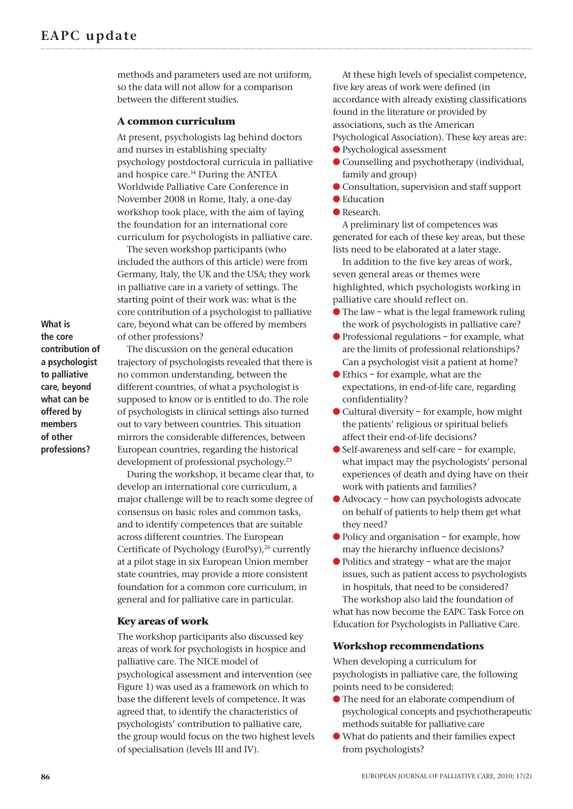methods and parameters used are not uniform, so the data will not allow for a comparison between the different studies.

#### **A common curriculum**

At present, psychologists lag behind doctors and nurses in establishing specialty psychology postdoctoral curricula in palliative and hospice care.<sup>14</sup> During the ANTEA Worldwide Palliative Care Conference in November 2008 in Rome, Italy, a one-day workshop took place, with the aim of laying the foundation for an international core curriculum for psychologists in palliative care.

The seven workshop participants (who included the authors of this article) were from Germany, Italy, the UK and the USA; they work in palliative care in a variety of settings. The starting point of their work was: what is the core contribution of a psychologist to palliative care, beyond what can be offered by members of other professions?

**What is the core contribution of a psychologist to palliative care, beyond what can be offered by members of other professions?**

The discussion on the general education trajectory of psychologists revealed that there is no common understanding, between the different countries, of what a psychologist is supposed to know or is entitled to do. The role of psychologists in clinical settings also turned out to vary between countries. This situation mirrors the considerable differences, between European countries, regarding the historical development of professional psychology.25

During the workshop, it became clear that, to develop an international core curriculum, a major challenge will be to reach some degree of consensus on basic roles and common tasks, and to identify competences that are suitable across different countries. The European Certificate of Psychology (EuroPsy),<sup>26</sup> currently at a pilot stage in six European Union member state countries, may provide a more consistent foundation for a common core curriculum, in general and for palliative care in particular.

#### **Key areas of work**

The workshop participants also discussed key areas of work for psychologists in hospice and palliative care. The NICE model of psychological assessment and intervention (see Figure 1) was used as a framework on which to base the different levels of competence. It was agreed that, to identify the characteristics of psychologists' contribution to palliative care, the group would focus on the two highest levels of specialisation (levels III and IV).

At these high levels of specialist competence, five key areas of work were defined (in accordance with already existing classifications found in the literature or provided by associations, such as the American Psychological Association). These key areas are:

- **●** Psychological assessment
- **●** Counselling and psychotherapy (individual, family and group)
- **●** Consultation, supervision and staff support **●** Education
- **●** Research.

A preliminary list of competences was generated for each of these key areas, but these lists need to be elaborated at a later stage.

In addition to the five key areas of work, seven general areas or themes were highlighted, which psychologists working in palliative care should reflect on.

- The law what is the legal framework ruling the work of psychologists in palliative care?
- **●** Professional regulations for example, what are the limits of professional relationships? Can a psychologist visit a patient at home?
- **●** Ethics for example, what are the expectations, in end-of-life care, regarding confidentiality?
- Cultural diversity for example, how might the patients' religious or spiritual beliefs affect their end-of-life decisions?
- Self-awareness and self-care for example. what impact may the psychologists' personal experiences of death and dying have on their work with patients and families?
- Advocacy how can psychologists advocate on behalf of patients to help them get what they need?
- Policy and organisation for example, how may the hierarchy influence decisions?
- Politics and strategy what are the major issues, such as patient access to psychologists in hospitals, that need to be considered?

The workshop also laid the foundation of what has now become the EAPC Task Force on Education for Psychologists in Palliative Care.

## **Workshop recommendations**

When developing a curriculum for psychologists in palliative care, the following points need to be considered:

- **●** The need for an elaborate compendium of psychological concepts and psychotherapeutic methods suitable for palliative care
- **●** What do patients and their families expect from psychologists?